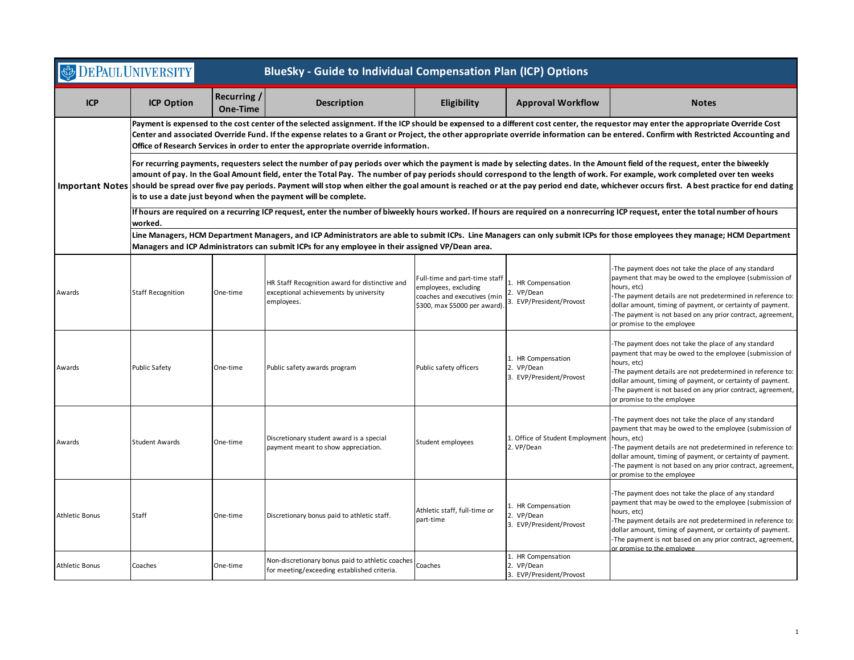| <b>DEPAUL UNIVERSITY</b><br><b>BlueSky - Guide to Individual Compensation Plan (ICP) Options</b> |                                                                                                                                                                                                                                                                                                                                                                                                                                                                                                                                                                                                                                            |                         |                                                                                                        |                                                                                                                      |                                                              |                                                                                                                                                                                                                                                                                                                                                          |  |  |  |
|--------------------------------------------------------------------------------------------------|--------------------------------------------------------------------------------------------------------------------------------------------------------------------------------------------------------------------------------------------------------------------------------------------------------------------------------------------------------------------------------------------------------------------------------------------------------------------------------------------------------------------------------------------------------------------------------------------------------------------------------------------|-------------------------|--------------------------------------------------------------------------------------------------------|----------------------------------------------------------------------------------------------------------------------|--------------------------------------------------------------|----------------------------------------------------------------------------------------------------------------------------------------------------------------------------------------------------------------------------------------------------------------------------------------------------------------------------------------------------------|--|--|--|
| <b>ICP</b>                                                                                       | <b>ICP Option</b>                                                                                                                                                                                                                                                                                                                                                                                                                                                                                                                                                                                                                          | Recurring /<br>One-Time | <b>Description</b>                                                                                     | Eligibility                                                                                                          | <b>Approval Workflow</b>                                     | <b>Notes</b>                                                                                                                                                                                                                                                                                                                                             |  |  |  |
|                                                                                                  | Payment is expensed to the cost center of the selected assignment. If the ICP should be expensed to a different cost center, the requestor may enter the appropriate Override Cost<br>Center and associated Override Fund. If the expense relates to a Grant or Project, the other appropriate override information can be entered. Confirm with Restricted Accounting and<br>Office of Research Services in order to enter the appropriate override information.                                                                                                                                                                          |                         |                                                                                                        |                                                                                                                      |                                                              |                                                                                                                                                                                                                                                                                                                                                          |  |  |  |
|                                                                                                  | For recurring payments, requesters select the number of pay periods over which the payment is made by selecting dates. In the Amount field of the request, enter the biweekly<br>amount of pay. In the Goal Amount field, enter the Total Pay. The number of pay periods should correspond to the length of work. For example, work completed over ten weeks<br>Important Notes  should be spread over five pay periods. Payment will stop when either the goal amount is reached or at the pay period end date, whichever occurs first. A best practice for end dating<br>is to use a date just beyond when the payment will be complete. |                         |                                                                                                        |                                                                                                                      |                                                              |                                                                                                                                                                                                                                                                                                                                                          |  |  |  |
|                                                                                                  | If hours are required on a recurring ICP request, enter the number of biweekly hours worked. If hours are required on a nonrecurring ICP request, enter the total number of hours<br>worked.                                                                                                                                                                                                                                                                                                                                                                                                                                               |                         |                                                                                                        |                                                                                                                      |                                                              |                                                                                                                                                                                                                                                                                                                                                          |  |  |  |
|                                                                                                  | Line Managers, HCM Department Managers, and ICP Administrators are able to submit ICPs. Line Managers can only submit ICPs for those employees they manage; HCM Department<br>Managers and ICP Administrators can submit ICPs for any employee in their assigned VP/Dean area.                                                                                                                                                                                                                                                                                                                                                             |                         |                                                                                                        |                                                                                                                      |                                                              |                                                                                                                                                                                                                                                                                                                                                          |  |  |  |
| Awards                                                                                           | <b>Staff Recognition</b>                                                                                                                                                                                                                                                                                                                                                                                                                                                                                                                                                                                                                   | One-time                | HR Staff Recognition award for distinctive and<br>exceptional achievements by university<br>employees. | Full-time and part-time staff<br>employees, excluding<br>coaches and executives (min<br>\$300, max \$5000 per award) | 1. HR Compensation<br>2. VP/Dean<br>3. EVP/President/Provost | -The payment does not take the place of any standard<br>payment that may be owed to the employee (submission of<br>hours, etc)<br>-The payment details are not predetermined in reference to:<br>dollar amount, timing of payment, or certainty of payment.<br>-The payment is not based on any prior contract, agreement,<br>or promise to the employee |  |  |  |
| Awards                                                                                           | <b>Public Safety</b>                                                                                                                                                                                                                                                                                                                                                                                                                                                                                                                                                                                                                       | One-time                | Public safety awards program                                                                           | Public safety officers                                                                                               | 1. HR Compensation<br>2. VP/Dean<br>3. EVP/President/Provost | -The payment does not take the place of any standard<br>payment that may be owed to the employee (submission of<br>hours, etc)<br>-The payment details are not predetermined in reference to:<br>dollar amount, timing of payment, or certainty of payment.<br>-The payment is not based on any prior contract, agreement,<br>or promise to the employee |  |  |  |
| Awards                                                                                           | <b>Student Awards</b>                                                                                                                                                                                                                                                                                                                                                                                                                                                                                                                                                                                                                      | One-time                | Discretionary student award is a special<br>payment meant to show appreciation.                        | Student employees                                                                                                    | 1. Office of Student Employment<br>2. VP/Dean                | -The payment does not take the place of any standard<br>payment that may be owed to the employee (submission of<br>hours, etc)<br>-The payment details are not predetermined in reference to:<br>dollar amount, timing of payment, or certainty of payment.<br>-The payment is not based on any prior contract, agreement,<br>or promise to the employee |  |  |  |
| <b>Athletic Bonus</b>                                                                            | Staff                                                                                                                                                                                                                                                                                                                                                                                                                                                                                                                                                                                                                                      | One-time                | Discretionary bonus paid to athletic staff.                                                            | Athletic staff, full-time or<br>part-time                                                                            | 1. HR Compensation<br>2. VP/Dean<br>3. EVP/President/Provost | -The payment does not take the place of any standard<br>payment that may be owed to the employee (submission of<br>hours, etc)<br>-The payment details are not predetermined in reference to:<br>dollar amount, timing of payment, or certainty of payment.<br>-The payment is not based on any prior contract, agreement,<br>or promise to the employee |  |  |  |
| <b>Athletic Bonus</b>                                                                            | Coaches                                                                                                                                                                                                                                                                                                                                                                                                                                                                                                                                                                                                                                    | One-time                | Non-discretionary bonus paid to athletic coaches<br>for meeting/exceeding established criteria.        | Coaches                                                                                                              | 1. HR Compensation<br>2. VP/Dean<br>3. EVP/President/Provost |                                                                                                                                                                                                                                                                                                                                                          |  |  |  |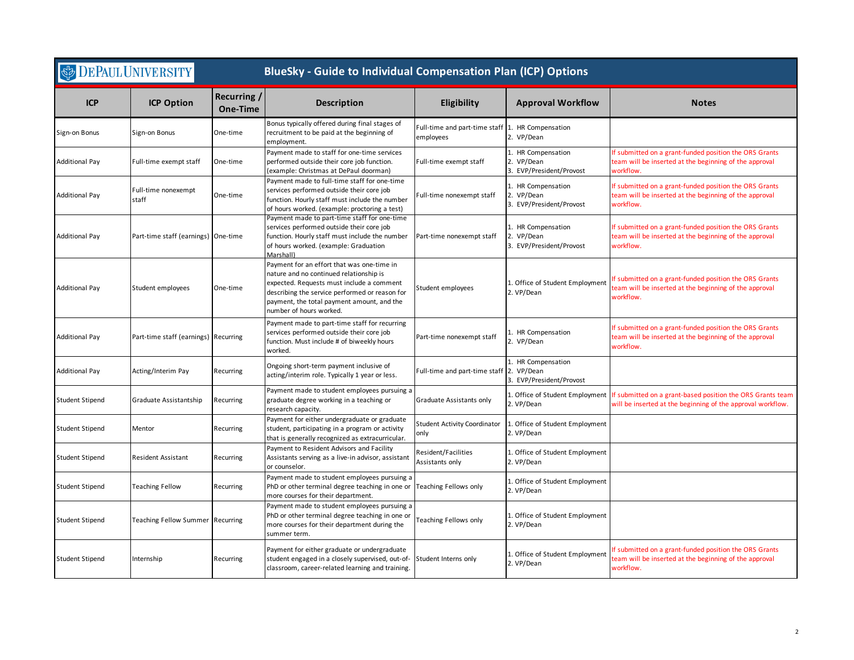| <b>DEPAUL UNIVERSITY</b> |                                     |                         | <b>BlueSky - Guide to Individual Compensation Plan (ICP) Options</b>                                                                                                                                                                                          |                                                               |                                                              |                                                                                                                               |  |
|--------------------------|-------------------------------------|-------------------------|---------------------------------------------------------------------------------------------------------------------------------------------------------------------------------------------------------------------------------------------------------------|---------------------------------------------------------------|--------------------------------------------------------------|-------------------------------------------------------------------------------------------------------------------------------|--|
| <b>ICP</b>               | <b>ICP Option</b>                   | Recurring /<br>One-Time | <b>Description</b>                                                                                                                                                                                                                                            | Eligibility                                                   | <b>Approval Workflow</b>                                     | <b>Notes</b>                                                                                                                  |  |
| Sign-on Bonus            | Sign-on Bonus                       | One-time                | Bonus typically offered during final stages of<br>recruitment to be paid at the beginning of<br>employment.                                                                                                                                                   | Full-time and part-time staff 1. HR Compensation<br>employees | 2. VP/Dean                                                   |                                                                                                                               |  |
| Additional Pay           | Full-time exempt staff              | One-time                | Payment made to staff for one-time services<br>performed outside their core job function.<br>(example: Christmas at DePaul doorman)                                                                                                                           | Full-time exempt staff                                        | 1. HR Compensation<br>2. VP/Dean<br>3. EVP/President/Provost | If submitted on a grant-funded position the ORS Grants<br>team will be inserted at the beginning of the approval<br>workflow. |  |
| <b>Additional Pay</b>    | Full-time nonexempt<br>staff        | One-time                | Payment made to full-time staff for one-time<br>services performed outside their core job<br>function. Hourly staff must include the number<br>of hours worked. (example: proctoring a test)                                                                  | Full-time nonexempt staff                                     | 1. HR Compensation<br>2. VP/Dean<br>3. EVP/President/Provost | If submitted on a grant-funded position the ORS Grants<br>team will be inserted at the beginning of the approval<br>workflow. |  |
| <b>Additional Pay</b>    | Part-time staff (earnings) One-time |                         | Payment made to part-time staff for one-time<br>services performed outside their core job<br>function. Hourly staff must include the number<br>of hours worked. (example: Graduation<br>Marshall)                                                             | Part-time nonexempt staff                                     | 1. HR Compensation<br>2. VP/Dean<br>3. EVP/President/Provost | If submitted on a grant-funded position the ORS Grants<br>team will be inserted at the beginning of the approval<br>workflow. |  |
| <b>Additional Pay</b>    | Student employees                   | One-time                | Payment for an effort that was one-time in<br>nature and no continued relationship is<br>expected. Requests must include a comment<br>describing the service performed or reason for<br>payment, the total payment amount, and the<br>number of hours worked. | Student employees                                             | 1. Office of Student Employment<br>2. VP/Dean                | If submitted on a grant-funded position the ORS Grants<br>team will be inserted at the beginning of the approval<br>workflow. |  |
| <b>Additional Pay</b>    | Part-time staff (earnings)          | Recurring               | Payment made to part-time staff for recurring<br>services performed outside their core job<br>function. Must include # of biweekly hours<br>worked.                                                                                                           | Part-time nonexempt staff                                     | 1. HR Compensation<br>2. VP/Dean                             | If submitted on a grant-funded position the ORS Grants<br>team will be inserted at the beginning of the approval<br>workflow. |  |
| <b>Additional Pay</b>    | Acting/Interim Pay                  | Recurring               | Ongoing short-term payment inclusive of<br>acting/interim role. Typically 1 year or less.                                                                                                                                                                     | Full-time and part-time staff                                 | 1. HR Compensation<br>2. VP/Dean<br>3. EVP/President/Provost |                                                                                                                               |  |
| Student Stipend          | Graduate Assistantship              | Recurring               | Payment made to student employees pursuing a<br>graduate degree working in a teaching or<br>research capacity.                                                                                                                                                | Graduate Assistants only                                      | 1. Office of Student Employment<br>2. VP/Dean                | If submitted on a grant-based position the ORS Grants team<br>will be inserted at the beginning of the approval workflow.     |  |
| <b>Student Stipend</b>   | Mentor                              | Recurring               | Payment for either undergraduate or graduate<br>student, participating in a program or activity<br>that is generally recognized as extracurricular.                                                                                                           | <b>Student Activity Coordinator</b><br>only                   | 1. Office of Student Employment<br>2. VP/Dean                |                                                                                                                               |  |
| <b>Student Stipend</b>   | <b>Resident Assistant</b>           | Recurring               | Payment to Resident Advisors and Facility<br>Assistants serving as a live-in advisor, assistant<br>or counselor.                                                                                                                                              | Resident/Facilities<br>Assistants only                        | 1. Office of Student Employment<br>2. VP/Dean                |                                                                                                                               |  |
| <b>Student Stipend</b>   | <b>Teaching Fellow</b>              | Recurring               | Payment made to student employees pursuing a<br>PhD or other terminal degree teaching in one or<br>more courses for their department.                                                                                                                         | Teaching Fellows only                                         | 1. Office of Student Employment<br>2. VP/Dean                |                                                                                                                               |  |
| <b>Student Stipend</b>   | Teaching Fellow Summer Recurring    |                         | Payment made to student employees pursuing a<br>PhD or other terminal degree teaching in one or<br>more courses for their department during the<br>summer term.                                                                                               | Teaching Fellows only                                         | 1. Office of Student Employment<br>2. VP/Dean                |                                                                                                                               |  |
| Student Stipend          | Internship                          | Recurring               | Payment for either graduate or undergraduate<br>student engaged in a closely supervised, out-of-<br>classroom, career-related learning and training.                                                                                                          | Student Interns only                                          | 1. Office of Student Employment<br>2. VP/Dean                | f submitted on a grant-funded position the ORS Grants<br>eam will be inserted at the beginning of the approval<br>workflow.   |  |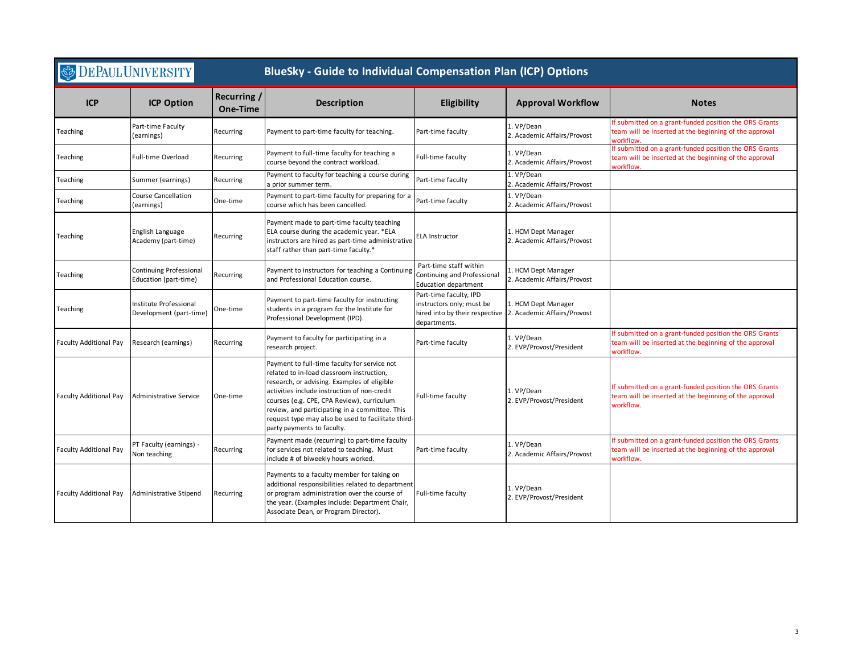| <b>DEPAUL UNIVERSITY</b><br><b>BlueSky - Guide to Individual Compensation Plan (ICP) Options</b> |                                                   |                                |                                                                                                                                                                                                                                                                                                                                                                              |                                                                                      |                                                                                   |                                                                                                                               |
|--------------------------------------------------------------------------------------------------|---------------------------------------------------|--------------------------------|------------------------------------------------------------------------------------------------------------------------------------------------------------------------------------------------------------------------------------------------------------------------------------------------------------------------------------------------------------------------------|--------------------------------------------------------------------------------------|-----------------------------------------------------------------------------------|-------------------------------------------------------------------------------------------------------------------------------|
| <b>ICP</b>                                                                                       | <b>ICP Option</b>                                 | Recurring /<br><b>One-Time</b> | <b>Description</b>                                                                                                                                                                                                                                                                                                                                                           | Eligibility                                                                          | <b>Approval Workflow</b>                                                          | <b>Notes</b>                                                                                                                  |
| Teaching                                                                                         | Part-time Faculty<br>(earnings)                   | Recurring                      | Payment to part-time faculty for teaching.                                                                                                                                                                                                                                                                                                                                   | Part-time faculty                                                                    | 1. VP/Dean<br>2. Academic Affairs/Provost                                         | If submitted on a grant-funded position the ORS Grants<br>team will be inserted at the beginning of the approval<br>workflow  |
| Teaching                                                                                         | Full-time Overload                                | Recurring                      | Payment to full-time faculty for teaching a<br>course beyond the contract workload.                                                                                                                                                                                                                                                                                          | Full-time faculty                                                                    | 1. VP/Dean<br>2. Academic Affairs/Provost                                         | f submitted on a grant-funded position the ORS Grants<br>team will be inserted at the beginning of the approval<br>workflow   |
| Teaching                                                                                         | Summer (earnings)                                 | Recurring                      | Payment to faculty for teaching a course during<br>a prior summer term.                                                                                                                                                                                                                                                                                                      | Part-time faculty                                                                    | 1. VP/Dean<br>2. Academic Affairs/Provost                                         |                                                                                                                               |
| Teaching                                                                                         | Course Cancellation<br>(earnings)                 | One-time                       | Payment to part-time faculty for preparing for a<br>course which has been cancelled.                                                                                                                                                                                                                                                                                         | Part-time faculty                                                                    | 1. VP/Dean<br>2. Academic Affairs/Provost                                         |                                                                                                                               |
| Teaching                                                                                         | English Language<br>Academy (part-time)           | Recurring                      | Payment made to part-time faculty teaching<br>ELA course during the academic year. * ELA<br>instructors are hired as part-time administrative<br>staff rather than part-time faculty.*                                                                                                                                                                                       | <b>ELA Instructor</b>                                                                | 1. HCM Dept Manager<br>2. Academic Affairs/Provost                                |                                                                                                                               |
| Teaching                                                                                         | Continuing Professional<br>Education (part-time)  | Recurring                      | Payment to instructors for teaching a Continuing<br>and Professional Education course.                                                                                                                                                                                                                                                                                       | Part-time staff within<br>Continuing and Professional<br><b>Education department</b> | 1. HCM Dept Manager<br>2. Academic Affairs/Provost                                |                                                                                                                               |
| Teaching                                                                                         | Institute Professional<br>Development (part-time) | One-time                       | Payment to part-time faculty for instructing<br>students in a program for the Institute for<br>Professional Development (IPD).                                                                                                                                                                                                                                               | Part-time faculty, IPD<br>instructors only; must be<br>departments.                  | 1. HCM Dept Manager<br>hired into by their respective 2. Academic Affairs/Provost |                                                                                                                               |
| <b>Faculty Additional Pay</b>                                                                    | Research (earnings)                               | Recurring                      | Payment to faculty for participating in a<br>research project.                                                                                                                                                                                                                                                                                                               | Part-time faculty                                                                    | 1. VP/Dean<br>2. EVP/Provost/President                                            | If submitted on a grant-funded position the ORS Grants<br>team will be inserted at the beginning of the approval<br>workflow  |
| <b>Faculty Additional Pay</b>                                                                    | <b>Administrative Service</b>                     | One-time                       | Payment to full-time faculty for service not<br>related to in-load classroom instruction,<br>research, or advising. Examples of eligible<br>activities include instruction of non-credit<br>courses (e.g. CPE, CPA Review), curriculum<br>review, and participating in a committee. This<br>request type may also be used to facilitate third-<br>party payments to faculty. | Full-time faculty                                                                    | 1. VP/Dean<br>2. EVP/Provost/President                                            | If submitted on a grant-funded position the ORS Grants<br>team will be inserted at the beginning of the approval<br>workflow. |
| <b>Faculty Additional Pay</b>                                                                    | PT Faculty (earnings) -<br>Non teaching           | Recurring                      | Payment made (recurring) to part-time faculty<br>for services not related to teaching. Must<br>include # of biweekly hours worked.                                                                                                                                                                                                                                           | Part-time faculty                                                                    | 1. VP/Dean<br>2. Academic Affairs/Provost                                         | If submitted on a grant-funded position the ORS Grants<br>team will be inserted at the beginning of the approval<br>workflow  |
| <b>Faculty Additional Pay</b>                                                                    | Administrative Stipend                            | Recurring                      | Payments to a faculty member for taking on<br>additional responsibilities related to department<br>or program administration over the course of<br>the year. (Examples include: Department Chair,<br>Associate Dean, or Program Director).                                                                                                                                   | Full-time faculty                                                                    | 1. VP/Dean<br>2. EVP/Provost/President                                            |                                                                                                                               |